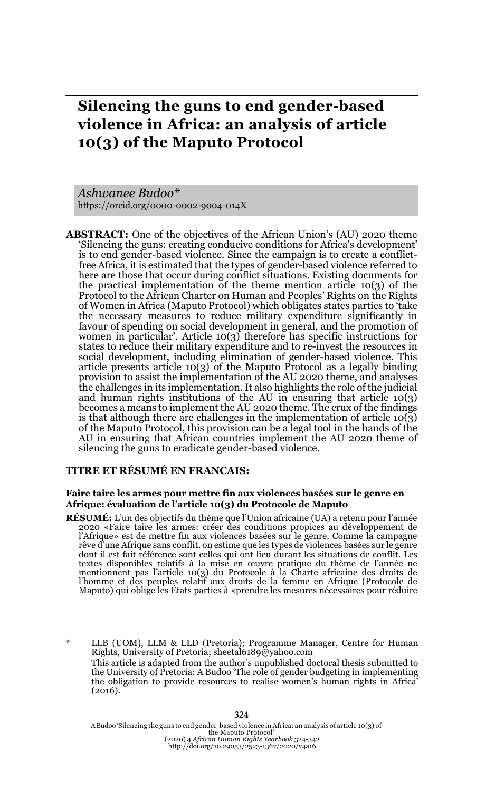# **Silencing the guns to end gender-based violence in Africa: an analysis of article 10(3) of the Maputo Protocol**

*Ashwanee Budoo\** https://orcid.org/0000-0002-9004-014X

**ABSTRACT:** One of the objectives of the African Union's (AU) 2020 theme 'Silencing the guns: creating conducive conditions for Africa's development' is to end gender-based violence. Since the campaign is to create a conflictfree Africa, it is estimated that the types of gender-based violence referred to here are those that occur during conflict situations. Existing documents for the practical implementation of the theme mention article 10(3) of the Protocol to the African Charter on Human and Peoples' Rights on the Rights of Women in Africa (Maputo Protocol) which obligates states parties to 'take the necessary measures to reduce military expenditure significantly in favour of spending on social development in general, and the promotion of women in particular'. Article 10(3) therefore has specific instructions for states to reduce their military expenditure and to re-invest the resources in social development, including elimination of gender-based violence. This article presents article 10(3) of the Maputo Protocol as a legally binding provision to assist the implementation of the AU 2020 theme, and analyses the challenges in its implementation. It also highlights the role of the judicial and human rights institutions of the AU in ensuring that article  $10(3)$ becomes a means to implement the AU 2020 theme. The crux of the findings is that although there are challenges in the implementation of article  $10(\tilde{3})$ of the Maputo Protocol, this provision can be a legal tool in the hands of the AU in ensuring that African countries implement the AU 2020 theme of silencing the guns to eradicate gender-based violence.

### **TITRE ET RÉSUMÉ EN FRANCAIS:**

#### **Faire taire les armes pour mettre fin aux violences basées sur le genre en Afrique: évaluation de l'article 10(3) du Protocole de Maputo**

**RÉSUMÉ:** L'un des objectifs du thème que l'Union africaine (UA) a retenu pour l'année 2020 «Faire taire les armes: créer des conditions propices au développement de l'Afrique» est de mettre fin aux violences basées sur le genre. Comme la campagne rêve d'une Afrique sans conflit, on estime que les types de violences basées sur le genre dont il est fait référence sont celles qui ont lieu durant les situations de conflit. Les textes disponibles relatifs à la mise en œuvre pratique du thème de l'année ne mentionnent pas l'article 10(3) du Protocole à la Charte africaine des droits de l'homme et des peuples relatif aux droits de la femme en Afrique (Protocole de Maputo) qui oblige les États parties à «prendre les mesures nécessaires pour réduire

LLB (UOM), LLM & LLD (Pretoria); Programme Manager, Centre for Human Rights, University of Pretoria; sheetal6189@yahoo.com This article is adapted from the author's unpublished doctoral thesis submitted to the University of Pretoria: A Budoo 'The role of gender budgeting in implementing the obligation to provide resources to realise women's human rights in Africa' (2016).

A Budoo 'Silencing the guns to end gender-based violence in Africa: an analysis of article 10(3) of the Maputo Protocol' (2020) 4 *African Human Rights Yearbook* 324-342 http://doi.org/10.29053/2523-1367/2020/v4a16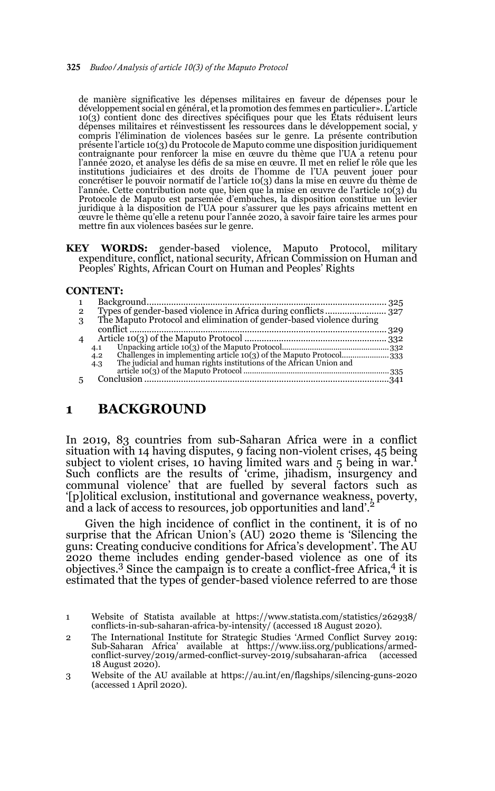#### 325 *Budoo/Analysis of article 10(3) of the Maputo Protocol*

de manière significative les dépenses militaires en faveur de dépenses pour le développement social en général, et la promotion des femmes en particulier». L'article 10(3) contient donc des directives spécifiques pour que les États réduisent leurs dépenses militaires et réinvestissent les ressources dans le développement social, y compris l'élimination de violences basées sur le genre. La présente contribution présente l'article 10(3) du Protocole de Maputo comme une disposition juridiquement contraignante pour renforcer la mise en œuvre du thème que l'UA a retenu pour l'année 2020, et analyse les défis de sa mise en œuvre. Il met en relief le rôle que les institutions judiciaires et des droits de l'homme de l'UA peuvent jouer pour concrétiser le pouvoir normatif de l'article 10(3) dans la mise en œuvre du thème de l'année. Cette contribution note que, bien que la mise en œuvre de l'article 10(3) du Protocole de Maputo est parsemée d'embuches, la disposition constitue un levier juridique à la disposition de l'UA pour s'assurer que les pays africains mettent en œuvre le thème qu'elle a retenu pour l'année 2020, à savoir faire taire les armes pour mettre fin aux violences basées sur le genre.

**KEY WORDS:** gender-based violence, Maputo Protocol, military expenditure, conflict, national security, African Commission on Human and Peoples' Rights, African Court on Human and Peoples' Rights

#### **CONTENT:**

| $\mathbf{1}$             |                                                                     |  |
|--------------------------|---------------------------------------------------------------------|--|
| $\overline{2}$           |                                                                     |  |
| 3                        | The Maputo Protocol and elimination of gender-based violence during |  |
|                          |                                                                     |  |
| $\overline{\mathcal{A}}$ |                                                                     |  |
|                          | 4.1                                                                 |  |
|                          | 4.2                                                                 |  |
|                          | 4.3                                                                 |  |
|                          |                                                                     |  |
|                          |                                                                     |  |
|                          |                                                                     |  |

## **1 BACKGROUND**

In 2019, 83 countries from sub-Saharan Africa were in a conflict situation with 14 having disputes, 9 facing non-violent crises, 45 being subject to violent crises, 10 having limited wars and 5 being in war.<sup>1</sup> Such conflicts are the results of 'crime, jihadism, insurgency and communal violence' that are fuelled by several factors such as '[p]olitical exclusion, institutional and governance weakness, poverty, and a lack of access to resources, job opportunities and land'.

Given the high incidence of conflict in the continent, it is of no surprise that the African Union's (AU) 2020 theme is 'Silencing the guns: Creating conducive conditions for Africa's development'. The AU 2020 theme includes ending gender-based violence as one of its objectives.3 Since the campaign is to create a conflict-free Africa,4 it is estimated that the types of gender-based violence referred to are those

2 The International Institute for Strategic Studies 'Armed Conflict Survey 2019: Sub-Saharan Africa' available at https://www.iiss.org/publications/armedconflict-survey/2019/armed-conflict-survey-2019/subsaharan-africa 18 August 2020).

<sup>1</sup> Website of Statista available at https://www.statista.com/statistics/262938/ conflicts-in-sub-saharan-africa-by-intensity/ (accessed 18 August 2020).

<sup>3</sup> Website of the AU available at https://au.int/en/flagships/silencing-guns-2020 (accessed 1 April 2020).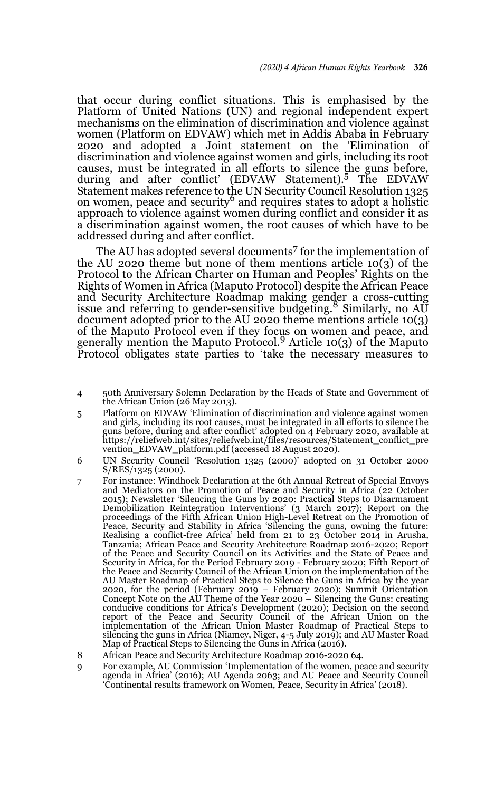that occur during conflict situations. This is emphasised by the Platform of United Nations (UN) and regional independent expert mechanisms on the elimination of discrimination and violence against women (Platform on EDVAW) which met in Addis Ababa in February 2020 and adopted a Joint statement on the 'Elimination of discrimination and violence against women and girls, including its root causes, must be integrated in all efforts to silence the guns before, during and after conflict' (EDVAW Statement).5 The EDVAW Statement makes reference to the UN Security Council Resolution 1325 on women, peace and security<sup>6</sup> and requires states to adopt a holistic approach to violence against women during conflict and consider it as a discrimination against women, the root causes of which have to be addressed during and after conflict.

The AU has adopted several documents<sup>7</sup> for the implementation of the AU 2020 theme but none of them mentions article 10(3) of the Protocol to the African Charter on Human and Peoples' Rights on the Rights of Women in Africa (Maputo Protocol) despite the African Peace and Security Architecture Roadmap making gender a cross-cutting issue and referring to gender-sensitive budgeting.<sup>8</sup> Similarly, no AU document adopted prior to the AU 2020 theme mentions article 10(3) of the Maputo Protocol even if they focus on women and peace, and generally mention the Maputo Protocol.<sup>9</sup> Article 10(3) of the Maputo Protocol obligates state parties to 'take the necessary measures to

- 4 50th Anniversary Solemn Declaration by the Heads of State and Government of the African Union (26 May 2013).
- 5 Platform on EDVAW 'Elimination of discrimination and violence against women and girls, including its root causes, must be integrated in all efforts to silence the guns before, during and after conflict' adopted on 4 February 2020, available at https://reliefweb.int/sites/reliefweb.int/files/resources/Statement\_conflict\_pre vention\_EDVAW\_platform.pdf (accessed 18 August 2020).
- 6 UN Security Council 'Resolution 1325 (2000)' adopted on 31 October 2000 S/RES/1325 (2000).
- 7 For instance: Windhoek Declaration at the 6th Annual Retreat of Special Envoys and Mediators on the Promotion of Peace and Security in Africa (22 October 2015); Newsletter 'Silencing the Guns by 2020: Practical Steps to Disarmament Demobilization Reintegration Interventions' (3 March 2017); Report on the proceedings of the Fifth African Union High-Level Retreat on the Promotion of Peace, Security and Stability in Africa 'Silencing the guns, owning the future: Realising a conflict-free Africa' held from 21 to 23 October 2014 in Arusha, Tanzania; African Peace and Security Architecture Roadmap 2016-2020; Report of the Peace and Security Council on its Activities and the State of Peace and Security in Africa, for the Period February 2019 - February 2020; Fifth Report of the Peace and Security Council of the African Union on the implementation of the AU Master Roadmap of Practical Steps to Silence the Guns in Africa by the year 2020, for the period (February 2019 – February 2020); Summit Orientation Concept Note on the AU Theme of the Year 2020 – Silencing the Guns: creating conducive conditions for Africa's Development (2020); Decision on the second report of the Peace and Security Council of the African Union on the implementation of the African Union Master Roadmap of Practical Steps to silencing the guns in Africa (Niamey, Niger, 4-5 July 2019); and AU Master Road Map of Practical Steps to Silencing the Guns in Africa (2016).
- 8 African Peace and Security Architecture Roadmap 2016-2020 64.
- 9 For example, AU Commission 'Implementation of the women, peace and security agenda in Africa' (2016); AU Agenda 2063; and AU Peace and Security Council 'Continental results framework on Women, Peace, Security in Africa' (2018).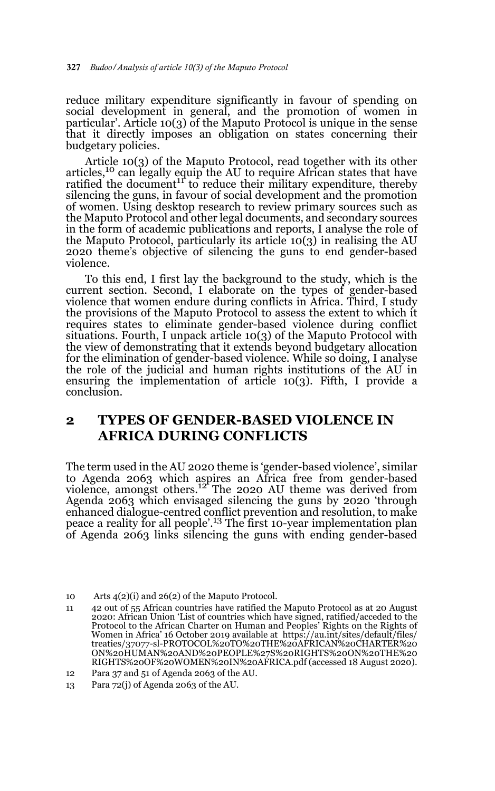reduce military expenditure significantly in favour of spending on social development in general, and the promotion of women in particular'. Article 10(3) of the Maputo Protocol is unique in the sense that it directly imposes an obligation on states concerning their budgetary policies.

Article 10(3) of the Maputo Protocol, read together with its other articles,10 can legally equip the AU to require African states that have ratified the document<sup>11</sup> to reduce their military expenditure, thereby silencing the guns, in favour of social development and the promotion of women. Using desktop research to review primary sources such as the Maputo Protocol and other legal documents, and secondary sources in the form of academic publications and reports, I analyse the role of the Maputo Protocol, particularly its article 10(3) in realising the AU 2020 theme's objective of silencing the guns to end gender-based violence.

To this end, I first lay the background to the study, which is the current section. Second, I elaborate on the types of gender-based violence that women endure during conflicts in Africa. Third, I study the provisions of the Maputo Protocol to assess the extent to which it requires states to eliminate gender-based violence during conflict situations. Fourth, I unpack article 10(3) of the Maputo Protocol with the view of demonstrating that it extends beyond budgetary allocation for the elimination of gender-based violence. While so doing, I analyse the role of the judicial and human rights institutions of the AU in ensuring the implementation of article 10(3). Fifth, I provide a conclusion.

## **2 TYPES OF GENDER-BASED VIOLENCE IN AFRICA DURING CONFLICTS**

The term used in the AU 2020 theme is 'gender-based violence', similar to Agenda 2063 which aspires an Africa free from gender-based<br>violence, amongst others.<sup>12</sup> The 2020 AU theme was derived from Agenda 2063 which envisaged silencing the guns by 2020 'through enhanced dialogue-centred conflict prevention and resolution, to make peace a reality for all people'.13 The first 10-year implementation plan of Agenda 2063 links silencing the guns with ending gender-based

<sup>10</sup> Arts 4(2)(i) and 26(2) of the Maputo Protocol.

<sup>11 42</sup> out of 55 African countries have ratified the Maputo Protocol as at 20 August 2020: African Union 'List of countries which have signed, ratified/acceded to the Protocol to the African Charter on Human and Peoples' Rights on the Rights of Women in Africa' 16 October 2019 available at https://au.int/sites/default/files/ treaties/37077-sl-PROTOCOL%20TO%20THE%20AFRICAN%20CHARTER%20 ON%20HUMAN%20AND%20PEOPLE%27S%20RIGHTS%20ON%20THE%20 RIGHTS%20OF%20WOMEN%20IN%20AFRICA.pdf (accessed 18 August 2020).

<sup>12</sup> Para 37 and 51 of Agenda 2063 of the AU.

<sup>13</sup> Para 72(j) of Agenda 2063 of the AU.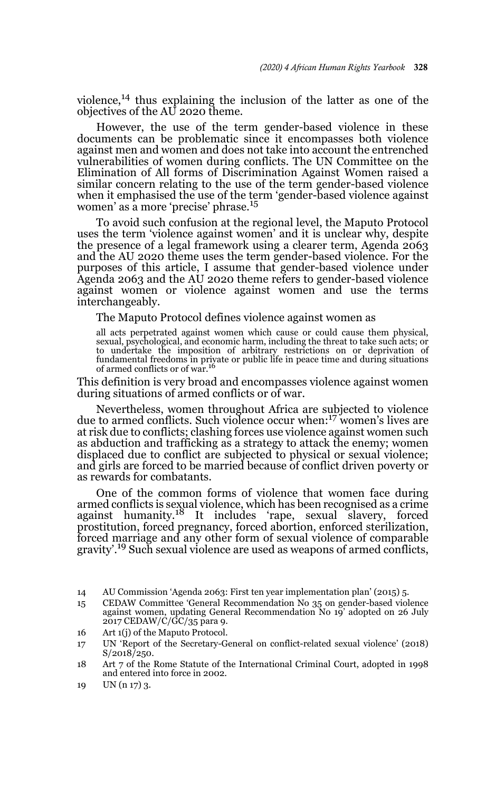violence, $^{14}$  thus explaining the inclusion of the latter as one of the objectives of the AU 2020 theme.

However, the use of the term gender-based violence in these documents can be problematic since it encompasses both violence against men and women and does not take into account the entrenched vulnerabilities of women during conflicts. The UN Committee on the Elimination of All forms of Discrimination Against Women raised a similar concern relating to the use of the term gender-based violence when it emphasised the use of the term 'gender-based violence against women' as a more 'precise' phrase.<sup>15</sup>

To avoid such confusion at the regional level, the Maputo Protocol uses the term 'violence against women' and it is unclear why, despite the presence of a legal framework using a clearer term, Agenda 2063 and the AU 2020 theme uses the term gender-based violence. For the purposes of this article, I assume that gender-based violence under Agenda 2063 and the AU 2020 theme refers to gender-based violence against women or violence against women and use the terms interchangeably.

The Maputo Protocol defines violence against women as

all acts perpetrated against women which cause or could cause them physical, sexual, psychological, and economic harm, including the threat to take such acts; or to undertake the imposition of arbitrary restrictions on or deprivation of fundamental freedoms in private or public life in peace time and during situations of armed conflicts or of war.<sup>16</sup>

This definition is very broad and encompasses violence against women during situations of armed conflicts or of war.

Nevertheless, women throughout Africa are subjected to violence due to armed conflicts. Such violence occur when:17 women's lives are at risk due to conflicts; clashing forces use violence against women such as abduction and trafficking as a strategy to attack the enemy; women displaced due to conflict are subjected to physical or sexual violence; and girls are forced to be married because of conflict driven poverty or as rewards for combatants.

One of the common forms of violence that women face during armed conflicts is sexual violence, which has been recognised as a crime against humanity.<sup>18</sup> It includes 'rape, sexual slavery, forced prostitution, forced pregnancy, forced abortion, enforced sterilization, forced marriage and any other form of sexual violence of comparable gravity'.19 Such sexual violence are used as weapons of armed conflicts,

16 Art 1(j) of the Maputo Protocol.

<sup>14</sup> AU Commission 'Agenda 2063: First ten year implementation plan' (2015) 5.

<sup>15</sup> CEDAW Committee 'General Recommendation No 35 on gender-based violence against women, updating General Recommendation No 19' adopted on 26 July 2017 CEDAW/C/GC/35 para 9.

<sup>17</sup> UN 'Report of the Secretary-General on conflict-related sexual violence' (2018) S/2018/250.

<sup>18</sup> Art 7 of the Rome Statute of the International Criminal Court, adopted in 1998 and entered into force in 2002.

<sup>19</sup> UN (n 17) 3.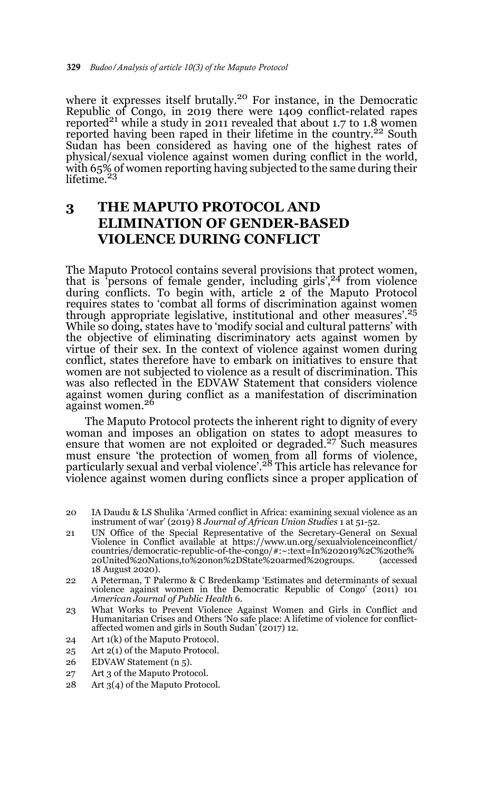where it expresses itself brutally.<sup>20</sup> For instance, in the Democratic Republic of Congo, in 2019 there were 1409 conflict-related rapes reported<sup>21</sup> while a study in 2011 revealed that about 1.7 to 1.8 women reported having been raped in their lifetime in the country.<sup>22</sup> South Sudan has been considered as having one of the highest rates of physical/sexual violence against women during conflict in the world, with 65% of women reporting having subjected to the same during their lifetime. $^{23}$ 

## **3 THE MAPUTO PROTOCOL AND ELIMINATION OF GENDER-BASED VIOLENCE DURING CONFLICT**

The Maputo Protocol contains several provisions that protect women, that is 'persons of female gender, including girls', $24$  from violence during conflicts. To begin with, article 2 of the Maputo Protocol requires states to 'combat all forms of discrimination against women through appropriate legislative, institutional and other measures'.25 While so doing, states have to 'modify social and cultural patterns' with the objective of eliminating discriminatory acts against women by virtue of their sex. In the context of violence against women during conflict, states therefore have to embark on initiatives to ensure that women are not subjected to violence as a result of discrimination. This was also reflected in the EDVAW Statement that considers violence against women during conflict as a manifestation of discrimination against women.26

The Maputo Protocol protects the inherent right to dignity of every woman and imposes an obligation on states to adopt measures to ensure that women are not exploited or degraded.<sup>27</sup> Such measures must ensure 'the protection of women from all forms of violence, particularly sexual and verbal violence'.28 This article has relevance for violence against women during conflicts since a proper application of

- 20 IA Daudu & LS Shulika 'Armed conflict in Africa: examining sexual violence as an instrument of war' (2019) 8 *Journal of African Union Studies* 1 at 51-52.
- 21 UN Office of the Special Representative of the Secretary-General on Sexual Violence in Conflict available at https://www.un.org/sexualviolenceinconflict/ countries/democratic-republic-of-the-congo/#:~:text=In%202019%2C%20the% 20United%20Nations,to%20non%2DState%20armed%20groups. (accessed 18 August 2020).
- 22 A Peterman, T Palermo & C Bredenkamp 'Estimates and determinants of sexual violence against women in the Democratic Republic of Congo' (2011) 101 *American Journal of Public Health* 6.
- 23 What Works to Prevent Violence Against Women and Girls in Conflict and Humanitarian Crises and Others 'No safe place: A lifetime of violence for conflictaffected women and girls in South Sudan' (2017) 12.
- 24 Art 1(k) of the Maputo Protocol.
- 25 Art 2(1) of the Maputo Protocol.
- 26 EDVAW Statement (n 5).
- 27 Art 3 of the Maputo Protocol.
- 28 Art 3(4) of the Maputo Protocol.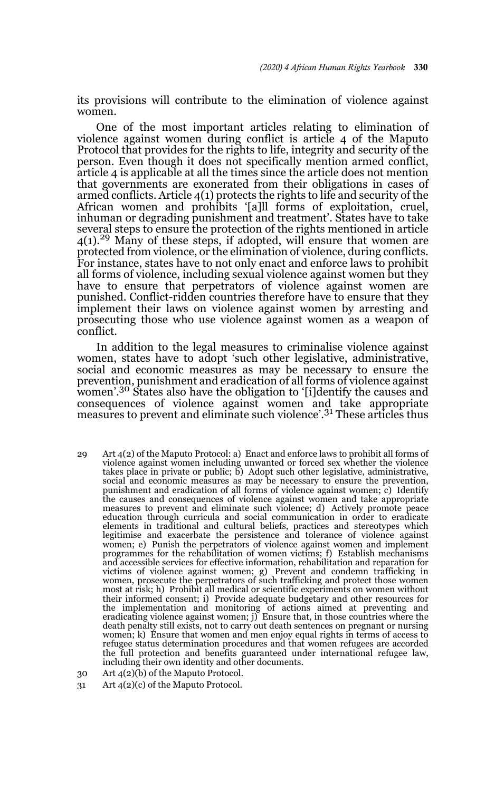its provisions will contribute to the elimination of violence against women.

One of the most important articles relating to elimination of violence against women during conflict is article 4 of the Maputo Protocol that provides for the rights to life, integrity and security of the person. Even though it does not specifically mention armed conflict, article 4 is applicable at all the times since the article does not mention that governments are exonerated from their obligations in cases of armed conflicts. Article 4(1) protects the rights to life and security of the African women and prohibits '[a]ll forms of exploitation, cruel, inhuman or degrading punishment and treatment'. States have to take several steps to ensure the protection of the rights mentioned in article  $4(1)$ <sup>29</sup> Many of these steps, if adopted, will ensure that women are protected from violence, or the elimination of violence, during conflicts. For instance, states have to not only enact and enforce laws to prohibit all forms of violence, including sexual violence against women but they have to ensure that perpetrators of violence against women are punished. Conflict-ridden countries therefore have to ensure that they implement their laws on violence against women by arresting and prosecuting those who use violence against women as a weapon of conflict.

In addition to the legal measures to criminalise violence against women, states have to adopt 'such other legislative, administrative, social and economic measures as may be necessary to ensure the prevention, punishment and eradication of all forms of violence against women'.30 States also have the obligation to '[i]dentify the causes and consequences of violence against women and take appropriate measures to prevent and eliminate such violence'.<sup>31</sup> These articles thus

- 29 Art 4(2) of the Maputo Protocol: a) Enact and enforce laws to prohibit all forms of violence against women including unwanted or forced sex whether the violence takes place in private or public; b) Adopt such other legislative, administrative, social and economic measures as may be necessary to ensure the prevention, punishment and eradication of all forms of violence against women; c) Identify the causes and consequences of violence against women and take appropriate measures to prevent and eliminate such violence; d) Actively promote peace education through curricula and social communication in order to eradicate elements in traditional and cultural beliefs, practices and stereotypes which legitimise and exacerbate the persistence and tolerance of violence against women; e) Punish the perpetrators of violence against women and implement programmes for the rehabilitation of women victims; f) Establish mechanisms and accessible services for effective information, rehabilitation and reparation for victims of violence against women; g) Prevent and condemn trafficking in women, prosecute the perpetrators of such trafficking and protect those women most at risk; h) Prohibit all medical or scientific experiments on women without their informed consent; i) Provide adequate budgetary and other resources for the implementation and monitoring of actions aimed at preventing and eradicating violence against women; j) Ensure that, in those countries where the death penalty still exists, not to carry out death sentences on pregnant or nursing women; k) Ensure that women and men enjoy equal rights in terms of access to refugee status determination procedures and that women refugees are accorded the full protection and benefits guaranteed under international refugee law, including their own identity and other documents.
- 30 Art 4(2)(b) of the Maputo Protocol.
- 31 Art 4(2)(c) of the Maputo Protocol.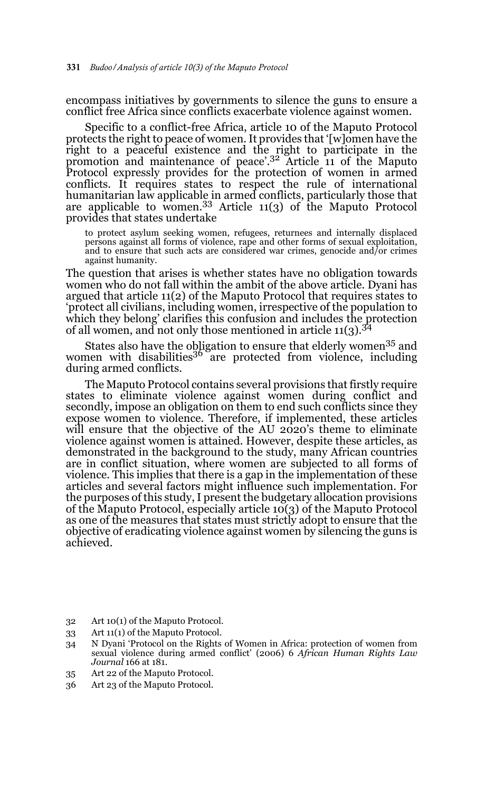encompass initiatives by governments to silence the guns to ensure a conflict free Africa since conflicts exacerbate violence against women.

Specific to a conflict-free Africa, article 10 of the Maputo Protocol protects the right to peace of women. It provides that '[w]omen have the right to a peaceful existence and the right to participate in the promotion and maintenance of peace'.32 Article 11 of the Maputo Protocol expressly provides for the protection of women in armed conflicts. It requires states to respect the rule of international humanitarian law applicable in armed conflicts, particularly those that are applicable to women.33 Article 11(3) of the Maputo Protocol provides that states undertake

to protect asylum seeking women, refugees, returnees and internally displaced persons against all forms of violence, rape and other forms of sexual exploitation, and to ensure that such acts are considered war crimes, genocide and/or crimes against humanity.

The question that arises is whether states have no obligation towards women who do not fall within the ambit of the above article. Dyani has argued that article 11(2) of the Maputo Protocol that requires states to 'protect all civilians, including women, irrespective of the population to which they belong' clarifies this confusion and includes the protection of all women, and not only those mentioned in article  $11(3)$ .<sup>34</sup>

States also have the obligation to ensure that elderly women<sup>35</sup> and women with disabilities<sup>36</sup> are protected from violence, including during armed conflicts.

The Maputo Protocol contains several provisions that firstly require states to eliminate violence against women during conflict and secondly, impose an obligation on them to end such conflicts since they expose women to violence. Therefore, if implemented, these articles will ensure that the objective of the AU 2020's theme to eliminate violence against women is attained. However, despite these articles, as demonstrated in the background to the study, many African countries are in conflict situation, where women are subjected to all forms of violence. This implies that there is a gap in the implementation of these articles and several factors might influence such implementation. For the purposes of this study, I present the budgetary allocation provisions of the Maputo Protocol, especially article 10(3) of the Maputo Protocol as one of the measures that states must strictly adopt to ensure that the objective of eradicating violence against women by silencing the guns is achieved.

- 32 Art 10(1) of the Maputo Protocol.
- 33 Art 11(1) of the Maputo Protocol.

- 35 Art 22 of the Maputo Protocol.
- 36 Art 23 of the Maputo Protocol.

<sup>34</sup> N Dyani 'Protocol on the Rights of Women in Africa: protection of women from sexual violence during armed conflict' (2006) 6 *African Human Rights Law Journal* 166 at 181.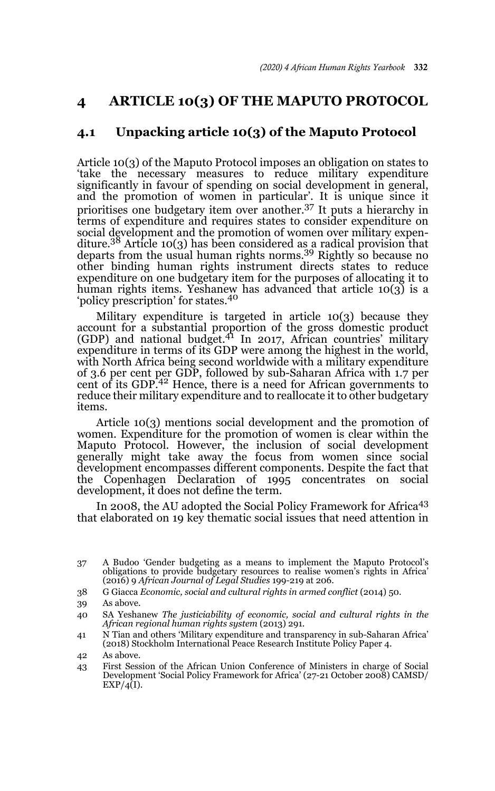## **4 ARTICLE 10(3) OF THE MAPUTO PROTOCOL**

### **4.1 Unpacking article 10(3) of the Maputo Protocol**

Article 10(3) of the Maputo Protocol imposes an obligation on states to 'take the necessary measures to reduce military expenditure significantly in favour of spending on social development in general, and the promotion of women in particular'. It is unique since it prioritises one budgetary item over another.37 It puts a hierarchy in terms of expenditure and requires states to consider expenditure on social development and the promotion of women over military expenditure.38 Article 10(3) has been considered as a radical provision that departs from the usual human rights norms.39 Rightly so because no other binding human rights instrument directs states to reduce expenditure on one budgetary item for the purposes of allocating it to human rights items. Yeshanew has advanced that article 10(3) is a 'policy prescription' for states.<sup>40</sup>

Military expenditure is targeted in article 10(3) because they account for a substantial proportion of the gross domestic product (GDP) and national budget.41 In 2017, African countries' military expenditure in terms of its GDP were among the highest in the world, with North Africa being second worldwide with a military expenditure of 3.6 per cent per GDP, followed by sub-Saharan Africa with 1.7 per cent of its GDP.42 Hence, there is a need for African governments to reduce their military expenditure and to reallocate it to other budgetary items.

Article 10(3) mentions social development and the promotion of women. Expenditure for the promotion of women is clear within the Maputo Protocol. However, the inclusion of social development generally might take away the focus from women since social development encompasses different components. Despite the fact that the Copenhagen Declaration of 1995 concentrates on social development, it does not define the term.

In 2008, the AU adopted the Social Policy Framework for Africa<sup>43</sup> that elaborated on 19 key thematic social issues that need attention in

- 38 G Giacca *Economic, social and cultural rights in armed conflict* (2014) 50.
- 39 As above.

<sup>37</sup> A Budoo 'Gender budgeting as a means to implement the Maputo Protocol's obligations to provide budgetary resources to realise women's rights in Africa' (2016) 9 *African Journal of Legal Studies* 199-219 at 206.

<sup>40</sup> SA Yeshanew *The justiciability of economic, social and cultural rights in the African regional human rights system* (2013) 291.

<sup>41</sup> N Tian and others 'Military expenditure and transparency in sub-Saharan Africa' (2018) Stockholm International Peace Research Institute Policy Paper 4.

<sup>42</sup> As above.

<sup>43</sup> First Session of the African Union Conference of Ministers in charge of Social Development 'Social Policy Framework for Africa' (27-21 October 2008) CAMSD/  $EXP/4(I)$ .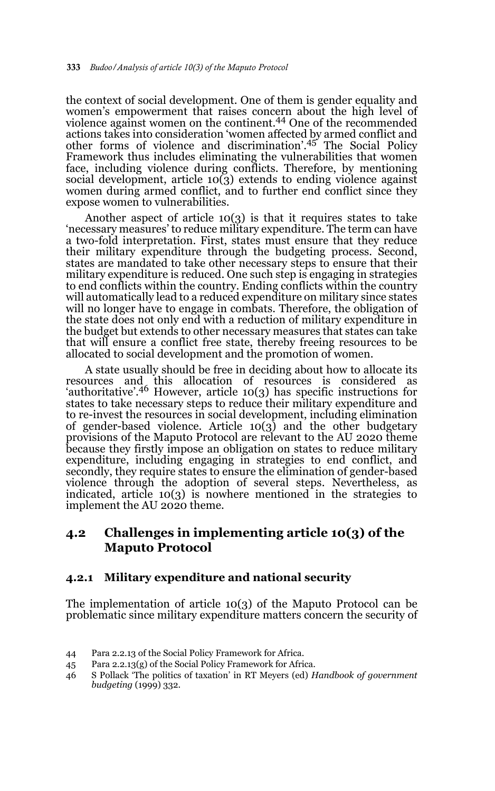the context of social development. One of them is gender equality and women's empowerment that raises concern about the high level of violence against women on the continent.44 One of the recommended actions takes into consideration 'women affected by armed conflict and other forms of violence and discrimination'.45 The Social Policy Framework thus includes eliminating the vulnerabilities that women face, including violence during conflicts. Therefore, by mentioning social development, article 10(3) extends to ending violence against women during armed conflict, and to further end conflict since they expose women to vulnerabilities.

Another aspect of article  $10(3)$  is that it requires states to take 'necessary measures' to reduce military expenditure. The term can have a two-fold interpretation. First, states must ensure that they reduce their military expenditure through the budgeting process. Second, states are mandated to take other necessary steps to ensure that their military expenditure is reduced. One such step is engaging in strategies to end conflicts within the country. Ending conflicts within the country will automatically lead to a reduced expenditure on military since states will no longer have to engage in combats. Therefore, the obligation of the state does not only end with a reduction of military expenditure in the budget but extends to other necessary measures that states can take that will ensure a conflict free state, thereby freeing resources to be allocated to social development and the promotion of women.

A state usually should be free in deciding about how to allocate its resources and this allocation of resources is considered as 'authoritative'.46 However, article 10(3) has specific instructions for states to take necessary steps to reduce their military expenditure and to re-invest the resources in social development, including elimination of gender-based violence. Article 10(3) and the other budgetary provisions of the Maputo Protocol are relevant to the AU 2020 theme because they firstly impose an obligation on states to reduce military expenditure, including engaging in strategies to end conflict, and secondly, they require states to ensure the elimination of gender-based violence through the adoption of several steps. Nevertheless, as indicated, article 10(3) is nowhere mentioned in the strategies to implement the AU 2020 theme.

### **4.2 Challenges in implementing article 10(3) of the Maputo Protocol**

### **4.2.1 Military expenditure and national security**

The implementation of article 10(3) of the Maputo Protocol can be problematic since military expenditure matters concern the security of

45 Para 2.2.13(g) of the Social Policy Framework for Africa.

<sup>44</sup> Para 2.2.13 of the Social Policy Framework for Africa.

<sup>46</sup> S Pollack 'The politics of taxation' in RT Meyers (ed) *Handbook of government budgeting* (1999) 332.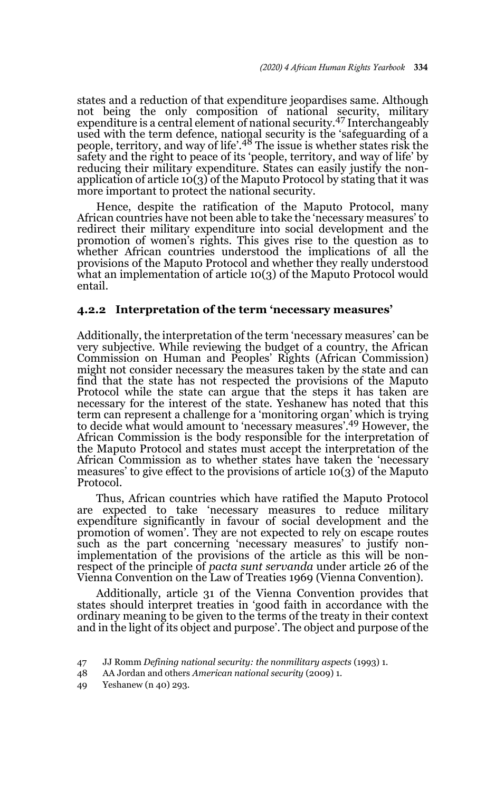states and a reduction of that expenditure jeopardises same. Although not being the only composition of national security, military expenditure is a central element of national security.47 Interchangeably used with the term defence, national security is the 'safeguarding of a<br>people, territory, and way of life'.<sup>48</sup> The issue is whether states risk the safety and the right to peace of its 'people, territory, and way of life' by reducing their military expenditure. States can easily justify the nonapplication of article 10(3) of the Maputo Protocol by stating that it was more important to protect the national security.

Hence, despite the ratification of the Maputo Protocol, many African countries have not been able to take the 'necessary measures' to redirect their military expenditure into social development and the promotion of women's rights. This gives rise to the question as to whether African countries understood the implications of all the provisions of the Maputo Protocol and whether they really understood what an implementation of article 10(3) of the Maputo Protocol would entail.

#### **4.2.2 Interpretation of the term 'necessary measures'**

Additionally, the interpretation of the term 'necessary measures' can be very subjective. While reviewing the budget of a country, the African Commission on Human and Peoples' Rights (African Commission) might not consider necessary the measures taken by the state and can find that the state has not respected the provisions of the Maputo Protocol while the state can argue that the steps it has taken are necessary for the interest of the state. Yeshanew has noted that this term can represent a challenge for a 'monitoring organ' which is trying to decide what would amount to 'necessary measures'.49 However, the African Commission is the body responsible for the interpretation of the Maputo Protocol and states must accept the interpretation of the African Commission as to whether states have taken the 'necessary measures' to give effect to the provisions of article 10(3) of the Maputo Protocol.

Thus, African countries which have ratified the Maputo Protocol are expected to take 'necessary measures to reduce military expenditure significantly in favour of social development and the promotion of women'. They are not expected to rely on escape routes such as the part concerning 'necessary measures' to justify nonimplementation of the provisions of the article as this will be nonrespect of the principle of *pacta sunt servanda* under article 26 of the Vienna Convention on the Law of Treaties 1969 (Vienna Convention).

Additionally, article 31 of the Vienna Convention provides that states should interpret treaties in 'good faith in accordance with the ordinary meaning to be given to the terms of the treaty in their context and in the light of its object and purpose'. The object and purpose of the

49 Yeshanew (n 40) 293.

<sup>47</sup> JJ Romm *Defining national security: the nonmilitary aspects* (1993) 1.

<sup>48</sup> AA Jordan and others *American national security* (2009) 1.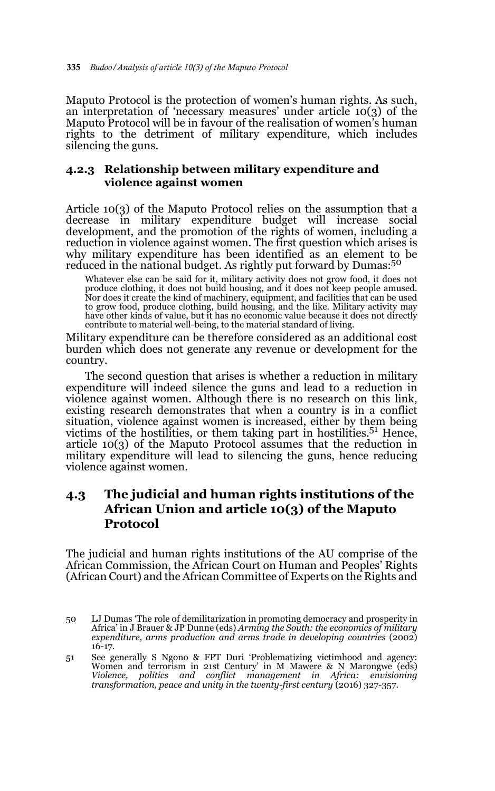Maputo Protocol is the protection of women's human rights. As such, an interpretation of 'necessary measures' under article 10(3) of the Maputo Protocol will be in favour of the realisation of women's human rights to the detriment of military expenditure, which includes silencing the guns.

### **4.2.3 Relationship between military expenditure and violence against women**

Article 10(3) of the Maputo Protocol relies on the assumption that a decrease in military expenditure budget will increase social development, and the promotion of the rights of women, including a reduction in violence against women. The first question which arises is why military expenditure has been identified as an element to be reduced in the national budget. As rightly put forward by Dumas:<sup>50</sup>

Whatever else can be said for it, military activity does not grow food, it does not produce clothing, it does not build housing, and it does not keep people amused. Nor does it create the kind of machinery, equipment, and facilities that can be used<br>to grow food, produce clothing, build housing, and the like. Military activity may<br>have other kinds of value, but it has no economic valu contribute to material well-being, to the material standard of living.

Military expenditure can be therefore considered as an additional cost burden which does not generate any revenue or development for the country.

The second question that arises is whether a reduction in military expenditure will indeed silence the guns and lead to a reduction in violence against women. Although there is no research on this link, existing research demonstrates that when a country is in a conflict situation, violence against women is increased, either by them being victims of the hostilities, or them taking part in hostilities.<sup>51</sup> Hence, article 10(3) of the Maputo Protocol assumes that the reduction in military expenditure will lead to silencing the guns, hence reducing violence against women.

### **4.3 The judicial and human rights institutions of the African Union and article 10(3) of the Maputo Protocol**

The judicial and human rights institutions of the AU comprise of the African Commission, the African Court on Human and Peoples' Rights (African Court) and the African Committee of Experts on the Rights and

51 See generally S Ngono & FPT Duri 'Problematizing victimhood and agency: Women and terrorism in 21st Century' in M Mawere & N Marongwe (eds) *Violence, politics and conflict management in Africa: envisioning transformation, peace and unity in the twenty-first century* (2016) 327-357.

<sup>50</sup> LJ Dumas 'The role of demilitarization in promoting democracy and prosperity in Africa' in J Brauer & JP Dunne (eds) *Arming the South: the economics of military expenditure, arms production and arms trade in developing countries* (2002) 16-17.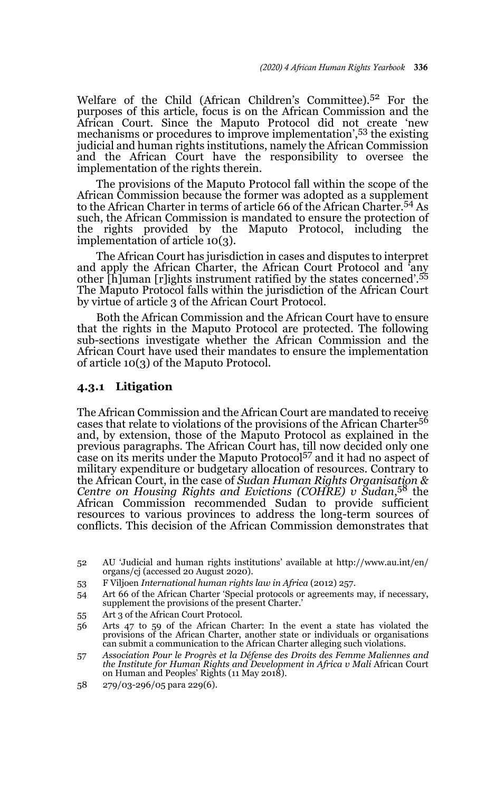Welfare of the Child (African Children's Committee).52 For the purposes of this article, focus is on the African Commission and the African Court. Since the Maputo Protocol did not create 'new mechanisms or procedures to improve implementation',53 the existing judicial and human rights institutions, namely the African Commission and the African Court have the responsibility to oversee the implementation of the rights therein.

The provisions of the Maputo Protocol fall within the scope of the African Commission because the former was adopted as a supplement to the African Charter in terms of article 66 of the African Charter.54 As such, the African Commission is mandated to ensure the protection of the rights provided by the Maputo Protocol, including the implementation of article 10(3).

The African Court has jurisdiction in cases and disputes to interpret and apply the African Charter, the African Court Protocol and 'any other [h]uman [r]ights instrument ratified by the states concerned'.<sup>55</sup> The Maputo Protocol falls within the jurisdiction of the African Court by virtue of article 3 of the African Court Protocol.

Both the African Commission and the African Court have to ensure that the rights in the Maputo Protocol are protected. The following sub-sections investigate whether the African Commission and the African Court have used their mandates to ensure the implementation of article 10(3) of the Maputo Protocol.

#### **4.3.1 Litigation**

The African Commission and the African Court are mandated to receive cases that relate to violations of the provisions of the African Charter<sup>56</sup> and, by extension, those of the Maputo Protocol as explained in the previous paragraphs. The African Court has, till now decided only one case on its merits under the Maputo Protocol57 and it had no aspect of military expenditure or budgetary allocation of resources. Contrary to the African Court, in the case of *Sudan Human Rights Organisation & Centre on Housing Rights and Evictions (COHRE) v Sudan*, 58 the African Commission recommended Sudan to provide sufficient resources to various provinces to address the long-term sources of conflicts. This decision of the African Commission demonstrates that

55 Art 3 of the African Court Protocol.

58 279/03-296/05 para 229(6).

<sup>52</sup> AU 'Judicial and human rights institutions' available at http://www.au.int/en/ organs/cj (accessed 20 August 2020).

<sup>53</sup> F Viljoen *International human rights law in Africa* (2012) 257.

<sup>54</sup> Art 66 of the African Charter 'Special protocols or agreements may, if necessary, supplement the provisions of the present Charter.'

<sup>56</sup> Arts 47 to 59 of the African Charter: In the event a state has violated the provisions of the African Charter, another state or individuals or organisations can submit a communication to the African Charter alleging such violations.

<sup>57</sup> *Association Pour le Progrès et la Défense des Droits des Femme Maliennes and the Institute for Human Rights and Development in Africa v Mali* African Court on Human and Peoples' Rights (11 May 2018).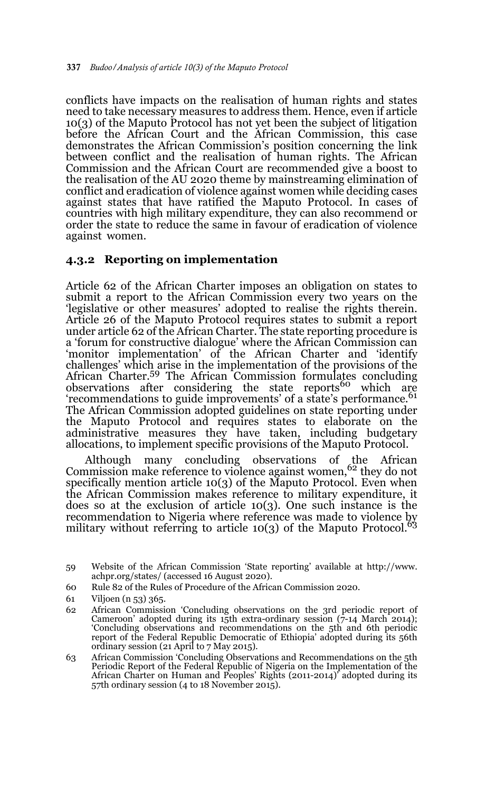conflicts have impacts on the realisation of human rights and states need to take necessary measures to address them. Hence, even if article 10(3) of the Maputo Protocol has not yet been the subject of litigation before the African Court and the African Commission, this case demonstrates the African Commission's position concerning the link between conflict and the realisation of human rights. The African Commission and the African Court are recommended give a boost to the realisation of the AU 2020 theme by mainstreaming elimination of conflict and eradication of violence against women while deciding cases against states that have ratified the Maputo Protocol. In cases of countries with high military expenditure, they can also recommend or order the state to reduce the same in favour of eradication of violence against women.

#### **4.3.2 Reporting on implementation**

Article 62 of the African Charter imposes an obligation on states to submit a report to the African Commission every two years on the 'legislative or other measures' adopted to realise the rights therein. Article 26 of the Maputo Protocol requires states to submit a report under article 62 of the African Charter. The state reporting procedure is a 'forum for constructive dialogue' where the African Commission can 'monitor implementation' of the African Charter and 'identify challenges' which arise in the implementation of the provisions of the African Charter.<sup>59</sup> The African Commission formulates concluding observations after considering the state reports<sup>60</sup> which are 'recommendations to guide improvements' of a state's performance.<sup>61</sup> The African Commission adopted guidelines on state reporting under the Maputo Protocol and requires states to elaborate on the administrative measures they have taken, including budgetary allocations, to implement specific provisions of the Maputo Protocol.

Although many concluding observations of the African Commission make reference to violence against women,<sup>62</sup> they do not specifically mention article 10(3) of the Maputo Protocol. Even when the African Commission makes reference to military expenditure, it does so at the exclusion of article 10(3). One such instance is the recommendation to Nigeria where reference was made to violence by military without referring to article  $10(3)$  of the Maputo Protocol.<sup>63</sup>

<sup>59</sup> Website of the African Commission 'State reporting' available at http://www. achpr.org/states/ (accessed 16 August 2020).

<sup>60</sup> Rule 82 of the Rules of Procedure of the African Commission 2020.

<sup>61</sup> Viljoen (n 53) 365.

<sup>62</sup> African Commission 'Concluding observations on the 3rd periodic report of Cameroon' adopted during its 15th extra-ordinary session  $(7-14$  March 2014); 'Concluding observations and recommendations on the 5th and 6th periodic report of the Federal Republic Democratic of Ethiopia' adopted during its 56th ordinary session (21 April to 7 May 2015).

<sup>63</sup> African Commission 'Concluding Observations and Recommendations on the 5th Periodic Report of the Federal Republic of Nigeria on the Implementation of the African Charter on Human and Peoples' Rights (2011-2014)' adopted during its 57th ordinary session (4 to 18 November 2015).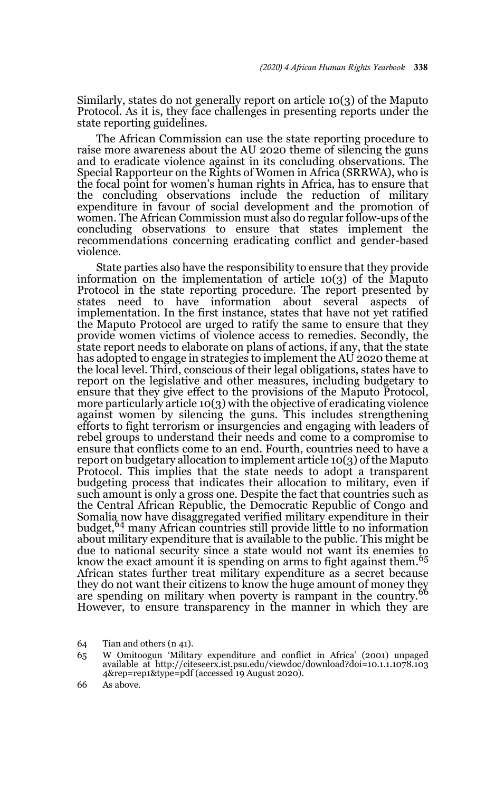Similarly, states do not generally report on article 10(3) of the Maputo Protocol. As it is, they face challenges in presenting reports under the state reporting guidelines.

The African Commission can use the state reporting procedure to raise more awareness about the AU 2020 theme of silencing the guns and to eradicate violence against in its concluding observations. The Special Rapporteur on the Rights of Women in Africa (SRRWA), who is the focal point for women's human rights in Africa, has to ensure that the concluding observations include the reduction of military expenditure in favour of social development and the promotion of women. The African Commission must also do regular follow-ups of the concluding observations to ensure that states implement the recommendations concerning eradicating conflict and gender-based violence.

State parties also have the responsibility to ensure that they provide information on the implementation of article 10(3) of the Maputo Protocol in the state reporting procedure. The report presented by states need to have information about several aspects of implementation. In the first instance, states that have not yet ratified the Maputo Protocol are urged to ratify the same to ensure that they provide women victims of violence access to remedies. Secondly, the state report needs to elaborate on plans of actions, if any, that the state has adopted to engage in strategies to implement the AU 2020 theme at the local level. Third, conscious of their legal obligations, states have to report on the legislative and other measures, including budgetary to ensure that they give effect to the provisions of the Maputo Protocol, more particularly article 10(3) with the objective of eradicating violence against women by silencing the guns. This includes strengthening efforts to fight terrorism or insurgencies and engaging with leaders of rebel groups to understand their needs and come to a compromise to ensure that conflicts come to an end. Fourth, countries need to have a report on budgetary allocation to implement article 10(3) of the Maputo Protocol. This implies that the state needs to adopt a transparent budgeting process that indicates their allocation to military, even if such amount is only a gross one. Despite the fact that countries such as the Central African Republic, the Democratic Republic of Congo and Somalia now have disaggregated verified military expenditure in their budget,64 many African countries still provide little to no information about military expenditure that is available to the public. This might be due to national security since a state would not want its enemies to know the exact amount it is spending on arms to fight against them. $65$ African states further treat military expenditure as a secret because Affican states further their citizens to know the huge amount of money they<br>they do not want their citizens to know the huge amount in the country of are spending on military when poverty is rampant in the country. However, to ensure transparency in the manner in which they are

<sup>64</sup> Tian and others (n 41).

<sup>65</sup> W Omitoogun 'Military expenditure and conflict in Africa' (2001) unpaged available at http://citeseerx.ist.psu.edu/viewdoc/download?doi=10.1.1.1078.103 4&rep=rep1&type=pdf (accessed 19 August 2020).

<sup>66</sup> As above.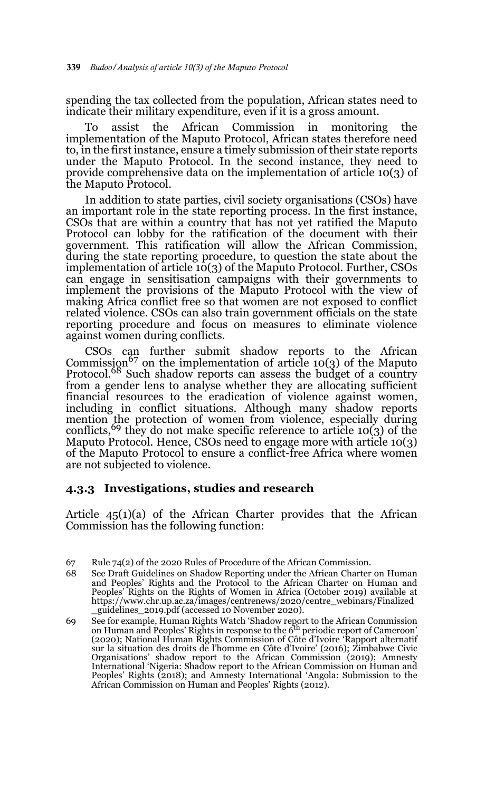spending the tax collected from the population, African states need to indicate their military expenditure, even if it is a gross amount.

To assist the African Commission in monitoring the implementation of the Maputo Protocol, African states therefore need to, in the first instance, ensure a timely submission of their state reports under the Maputo Protocol. In the second instance, they need to provide comprehensive data on the implementation of article 10(3) of the Maputo Protocol.

In addition to state parties, civil society organisations (CSOs) have an important role in the state reporting process. In the first instance, CSOs that are within a country that has not yet ratified the Maputo Protocol can lobby for the ratification of the document with their government. This ratification will allow the African Commission, during the state reporting procedure, to question the state about the implementation of article 10(3) of the Maputo Protocol. Further, CSOs can engage in sensitisation campaigns with their governments to implement the provisions of the Maputo Protocol with the view of making Africa conflict free so that women are not exposed to conflict related violence. CSOs can also train government officials on the state reporting procedure and focus on measures to eliminate violence against women during conflicts.

CSOs can further submit shadow reports to the African Commission<sup>67</sup> on the implementation of article 10(3) of the Maputo Protocol.<sup>68</sup> Such shadow reports can assess the budget of a country from a gender lens to analyse whether they are allocating sufficient financial resources to the eradication of violence against women, including in conflict situations. Although many shadow reports mention the protection of women from violence, especially during conflicts,<sup>69</sup> they do not make specific reference to article 10(3) of the Maputo Protocol. Hence, CSOs need to engage more with article 10(3) of the Maputo Protocol to ensure a conflict-free Africa where women are not subjected to violence.

#### **4.3.3 Investigations, studies and research**

Article 45(1)(a) of the African Charter provides that the African Commission has the following function:

<sup>67</sup> Rule 74(2) of the 2020 Rules of Procedure of the African Commission.

<sup>68</sup> See Draft Guidelines on Shadow Reporting under the African Charter on Human and Peoples' Rights and the Protocol to the African Charter on Human and Peoples' Rights on the Rights of Women in Africa (October 2019) available at https://www.chr.up.ac.za/images/centrenews/2020/centre\_webinars/Finalized \_guidelines\_2019.pdf (accessed 10 November 2020).

<sup>69</sup> See for example, Human Rights Watch 'Shadow report to the African Commission<br>on Human and Peoples' Rights in response to the 6<sup>th</sup> periodic report of Cameroon' (2020); National Human Rights Commission of Côte d'Ivoire 'Rapport alternatif sur la situation des droits de l'homme en Côte d'Ivoire' (2016); Zimbabwe Civic Organisations' shadow report to the African Commission (2019); Amnesty International 'Nigeria: Shadow report to the African Commission on Human and Peoples' Rights (2018); and Amnesty International 'Angola: Submission to the African Commission on Human and Peoples' Rights (2012).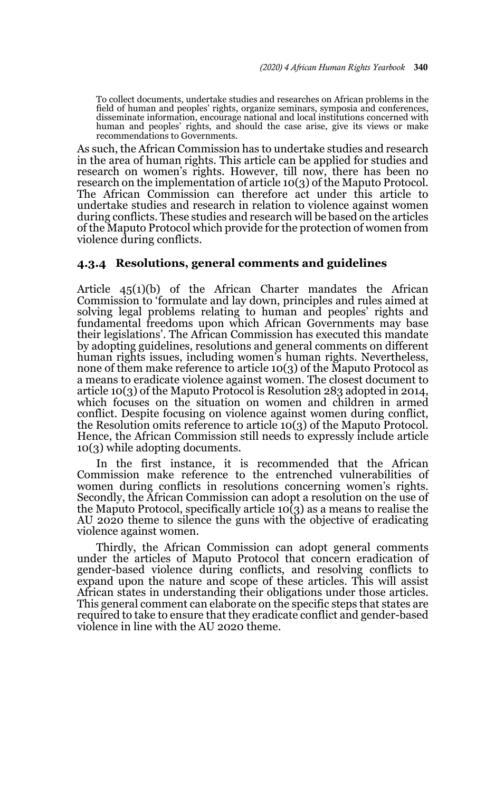To collect documents, undertake studies and researches on African problems in the field of human and peoples' rights, organize seminars, symposia and conferences, disseminate information, encourage national and local institutions concerned with human and peoples' rights, and should the case arise, give its views or make recommendations to Governments.

As such, the African Commission has to undertake studies and research in the area of human rights. This article can be applied for studies and research on women's rights. However, till now, there has been no research on the implementation of article 10(3) of the Maputo Protocol. The African Commission can therefore act under this article to undertake studies and research in relation to violence against women during conflicts. These studies and research will be based on the articles of the Maputo Protocol which provide for the protection of women from violence during conflicts.

#### **4.3.4 Resolutions, general comments and guidelines**

Article 45(1)(b) of the African Charter mandates the African Commission to 'formulate and lay down, principles and rules aimed at solving legal problems relating to human and peoples' rights and fundamental freedoms upon which African Governments may base their legislations'. The African Commission has executed this mandate by adopting guidelines, resolutions and general comments on different human rights issues, including women's human rights. Nevertheless, none of them make reference to article 10(3) of the Maputo Protocol as a means to eradicate violence against women. The closest document to article 10(3) of the Maputo Protocol is Resolution 283 adopted in 2014, which focuses on the situation on women and children in armed conflict. Despite focusing on violence against women during conflict, the Resolution omits reference to article 10(3) of the Maputo Protocol. Hence, the African Commission still needs to expressly include article 10(3) while adopting documents.

In the first instance, it is recommended that the African Commission make reference to the entrenched vulnerabilities of women during conflicts in resolutions concerning women's rights. Secondly, the African Commission can adopt a resolution on the use of the Maputo Protocol, specifically article  $10(3)$  as a means to realise the AU 2020 theme to silence the guns with the objective of eradicating violence against women.

Thirdly, the African Commission can adopt general comments under the articles of Maputo Protocol that concern eradication of gender-based violence during conflicts, and resolving conflicts to expand upon the nature and scope of these articles. This will assist African states in understanding their obligations under those articles. This general comment can elaborate on the specific steps that states are required to take to ensure that they eradicate conflict and gender-based violence in line with the AU 2020 theme.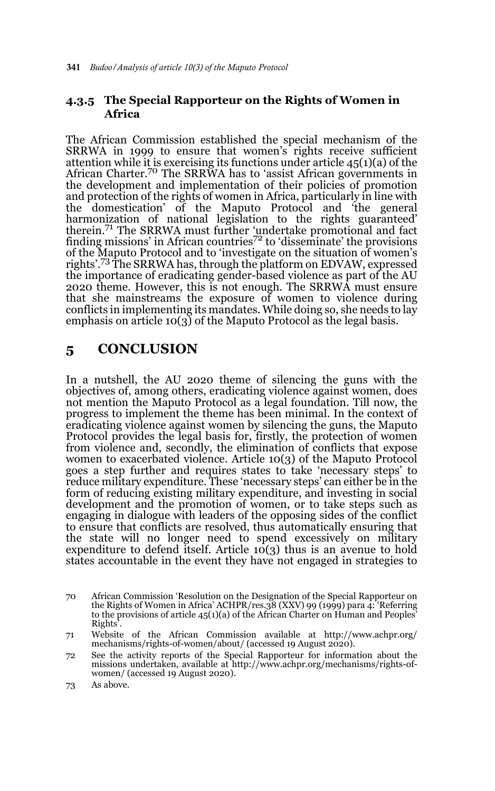### **4.3.5 The Special Rapporteur on the Rights of Women in Africa**

The African Commission established the special mechanism of the SRRWA in 1999 to ensure that women's rights receive sufficient attention while it is exercising its functions under article 45(1)(a) of the<br>African Charter.<sup>70</sup> The SRRWA has to 'assist African governments in the development and implementation of their policies of promotion and protection of the rights of women in Africa, particularly in line with the domestication' of the Maputo Protocol and 'the general harmonization of national legislation to the rights guaranteed' therein.71 The SRRWA must further 'undertake promotional and fact finding missions' in African countries<sup>72</sup> to 'disseminate' the provisions of the Maputo Protocol and to 'investigate on the situation of women's rights'.73 The SRRWA has, through the platform on EDVAW, expressed the importance of eradicating gender-based violence as part of the AU 2020 theme. However, this is not enough. The SRRWA must ensure that she mainstreams the exposure of women to violence during conflicts in implementing its mandates. While doing so, she needs to lay emphasis on article 10(3) of the Maputo Protocol as the legal basis.

## **5 CONCLUSION**

In a nutshell, the AU 2020 theme of silencing the guns with the objectives of, among others, eradicating violence against women, does not mention the Maputo Protocol as a legal foundation. Till now, the progress to implement the theme has been minimal. In the context of eradicating violence against women by silencing the guns, the Maputo Protocol provides the legal basis for, firstly, the protection of women from violence and, secondly, the elimination of conflicts that expose women to exacerbated violence. Article 10(3) of the Maputo Protocol goes a step further and requires states to take 'necessary steps' to reduce military expenditure. These 'necessary steps' can either be in the form of reducing existing military expenditure, and investing in social development and the promotion of women, or to take steps such as engaging in dialogue with leaders of the opposing sides of the conflict to ensure that conflicts are resolved, thus automatically ensuring that the state will no longer need to spend excessively on military expenditure to defend itself. Article  $10(3)$  thus is an avenue to hold states accountable in the event they have not engaged in strategies to

<sup>70</sup> African Commission 'Resolution on the Designation of the Special Rapporteur on the Rights of Women in Africa' ACHPR/res.38 (XXV) 99 (1999) para 4: 'Referring to the provisions of article 45(1)(a) of the African Charter on Human and Peoples' Rights'.

<sup>71</sup> Website of the African Commission available at http://www.achpr.org/ mechanisms/rights-of-women/about/ (accessed 19 August 2020).

<sup>72</sup> See the activity reports of the Special Rapporteur for information about the missions undertaken, available at http://www.achpr.org/mechanisms/rights-ofwomen/ (accessed 19 August 2020).

<sup>73</sup> As above.